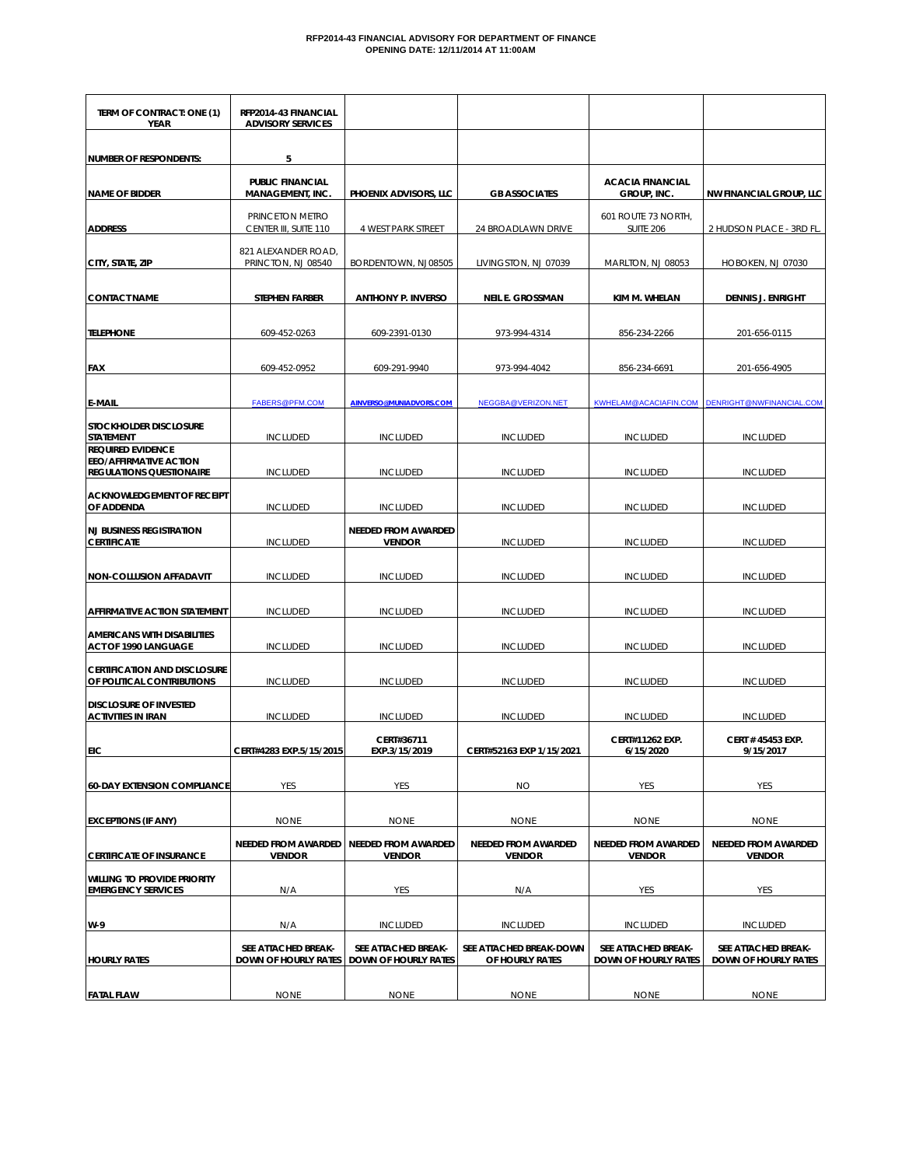## **RFP2014-43 FINANCIAL ADVISORY FOR DEPARTMENT OF FINANCE OPENING DATE: 12/11/2014 AT 11:00AM**

| TERM OF CONTRACT: ONE (1)<br>YEAR                                                            | RFP2014-43 FINANCIAL<br><b>ADVISORY SERVICES</b>   |                                                    |                                             |                                                    |                                             |
|----------------------------------------------------------------------------------------------|----------------------------------------------------|----------------------------------------------------|---------------------------------------------|----------------------------------------------------|---------------------------------------------|
| <b>NUMBER OF RESPONDENTS:</b>                                                                | 5                                                  |                                                    |                                             |                                                    |                                             |
| <b>NAME OF BIDDER</b>                                                                        | <b>PUBLIC FINANCIAL</b><br><b>MANAGEMENT, INC.</b> | PHOENIX ADVISORS, LLC                              | <b>GB ASSOCIATES</b>                        | <b>ACACIA FINANCIAL</b><br>GROUP, INC.             | <b>NW FINANCIAL GROUP, LLC</b>              |
| <b>ADDRESS</b>                                                                               | PRINCETON METRO<br>CENTER III, SUITE 110           | 4 WEST PARK STREET                                 | 24 BROADLAWN DRIVE                          | 601 ROUTE 73 NORTH,<br><b>SUITE 206</b>            | 2 HUDSON PLACE - 3RD FL.                    |
| CITY, STATE, ZIP                                                                             | 821 ALEXANDER ROAD,<br>PRINCTON, NJ 08540          | BORDENTOWN, NJ08505                                | LIVINGSTON, NJ 07039                        | MARLTON, NJ 08053                                  | HOBOKEN, NJ 07030                           |
| <b>CONTACT NAME</b>                                                                          | STEPHEN FARBER                                     | <b>ANTHONY P. INVERSO</b>                          | NEIL E. GROSSMAN                            | KIM M. WHELAN                                      | <b>DENNIS J. ENRIGHT</b>                    |
| <b>TELEPHONE</b>                                                                             | 609-452-0263                                       | 609-2391-0130                                      | 973-994-4314                                | 856-234-2266                                       | 201-656-0115                                |
| FAX                                                                                          | 609-452-0952                                       | 609-291-9940                                       | 973-994-4042                                | 856-234-6691                                       | 201-656-4905                                |
| <b>E-MAIL</b>                                                                                | <b>FABERS@PFM.COM</b>                              | AINVERSO@MUNIADVORS.COM                            | NEGGBA@VERIZON.NET                          | KWHELAM@ACACIAFIN.COM                              | DENRIGHT@NWFINANCIAL.COM                    |
| <b>STOCKHOLDER DISCLOSURE</b><br><b>STATEMENT</b>                                            | <b>INCLUDED</b>                                    | <b>INCLUDED</b>                                    | <b>INCLUDED</b>                             | <b>INCLUDED</b>                                    | <b>INCLUDED</b>                             |
| <b>REQUIRED EVIDENCE</b><br><b>EEO/AFFIRMATIVE ACTION</b><br><b>REGULATIONS QUESTIONAIRE</b> | <b>INCLUDED</b>                                    | <b>INCLUDED</b>                                    | <b>INCLUDED</b>                             | <b>INCLUDED</b>                                    | <b>INCLUDED</b>                             |
| <b>ACKNOWLEDGEMENT OF RECEIPT</b><br>OF ADDENDA                                              | <b>INCLUDED</b>                                    | <b>INCLUDED</b>                                    | <b>INCLUDED</b>                             | <b>INCLUDED</b>                                    | <b>INCLUDED</b>                             |
| <b>NJ BUSINESS REGISTRATION</b><br><b>CERTIFICATE</b>                                        | <b>INCLUDED</b>                                    | NEEDED FROM AWARDED<br><b>VENDOR</b>               | <b>INCLUDED</b>                             | <b>INCLUDED</b>                                    | <b>INCLUDED</b>                             |
| <b>NON-COLLUSION AFFADAVIT</b>                                                               | <b>INCLUDED</b>                                    | <b>INCLUDED</b>                                    | <b>INCLUDED</b>                             | <b>INCLUDED</b>                                    | <b>INCLUDED</b>                             |
| AFFIRMATIVE ACTION STATEMENT                                                                 | <b>INCLUDED</b>                                    | <b>INCLUDED</b>                                    | <b>INCLUDED</b>                             | <b>INCLUDED</b>                                    | <b>INCLUDED</b>                             |
| <b>AMERICANS WITH DISABILITIES</b><br>ACT OF 1990 LANGUAGE                                   | <b>INCLUDED</b>                                    | <b>INCLUDED</b>                                    | <b>INCLUDED</b>                             | <b>INCLUDED</b>                                    | <b>INCLUDED</b>                             |
| <b>CERTIFICATION AND DISCLOSURE</b><br>OF POLITICAL CONTRIBUTIONS                            | <b>INCLUDED</b>                                    | <b>INCLUDED</b>                                    | <b>INCLUDED</b>                             | <b>INCLUDED</b>                                    | <b>INCLUDED</b>                             |
| <b>DISCLOSURE OF INVESTED</b><br><b>ACTIVITIES IN IRAN</b>                                   | <b>INCLUDED</b>                                    | <b>INCLUDED</b>                                    | <b>INCLUDED</b>                             | <b>INCLUDED</b>                                    | <b>INCLUDED</b>                             |
| <b>EIC</b>                                                                                   | CERT#4283 EXP.5/15/2015                            | CERT#36711<br>EXP.3/15/2019                        | CERT#52163 EXP 1/15/2021                    | CERT#11262 EXP.<br>6/15/2020                       | CERT # 45453 EXP.<br>9/15/2017              |
| <b>60-DAY EXTENSION COMPLIANCE</b>                                                           | YES                                                | YES                                                | <b>NO</b>                                   | YES                                                | <b>YES</b>                                  |
| <b>EXCEPTIONS (IF ANY)</b>                                                                   | <b>NONE</b>                                        | <b>NONE</b>                                        | <b>NONE</b>                                 | <b>NONE</b>                                        | <b>NONE</b>                                 |
| <b>CERTIFICATE OF INSURANCE</b>                                                              | NEEDED FROM AWARDED<br><b>VENDOR</b>               | <b>NEEDED FROM AWARDED</b><br><b>VENDOR</b>        | <b>NEEDED FROM AWARDED</b><br><b>VENDOR</b> | <b>NEEDED FROM AWARDED</b><br><b>VENDOR</b>        | <b>NEEDED FROM AWARDED</b><br><b>VENDOR</b> |
| WILLING TO PROVIDE PRIORITY<br><b>EMERGENCY SERVICES</b>                                     | N/A                                                | <b>YES</b>                                         | N/A                                         | YES                                                | <b>YES</b>                                  |
| W-9                                                                                          | N/A                                                | <b>INCLUDED</b>                                    | <b>INCLUDED</b>                             | <b>INCLUDED</b>                                    | <b>INCLUDED</b>                             |
| <b>HOURLY RATES</b>                                                                          | SEE ATTACHED BREAK-<br>Down of Hourly Rates        | SEE ATTACHED BREAK-<br><b>DOWN OF HOURLY RATES</b> | SEE ATTACHED BREAK-DOWN<br>OF HOURLY RATES  | SEE ATTACHED BREAK-<br><b>DOWN OF HOURLY RATES</b> | SEE ATTACHED BREAK-<br>DOWN OF HOURLY RATES |
| <b>FATAL FLAW</b>                                                                            | <b>NONE</b>                                        | <b>NONE</b>                                        | <b>NONE</b>                                 | <b>NONE</b>                                        | <b>NONE</b>                                 |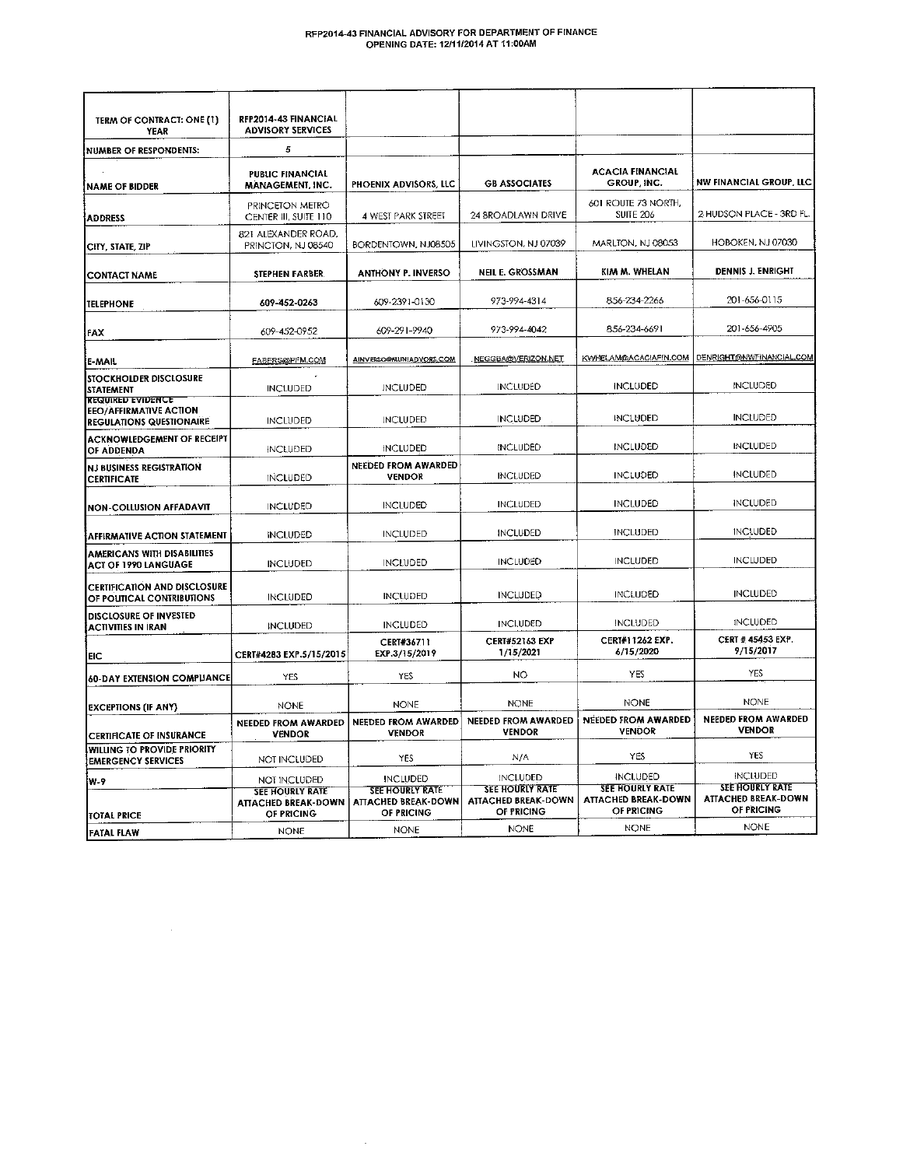# RFP2014-43 FINANCIAL ADVISORY FOR DEPARTMENT OF FINANCE<br>OPENING DATE: 12/11/2014 AT 11:00AM

| TERM OF CONTRACT: ONE (1)<br>YEAR                                                            | RFP2014-43 FINANCIAL<br><b>ADVISORY SERVICES</b>                   |                                                                    |                                                             |                                                                    |                                                             |
|----------------------------------------------------------------------------------------------|--------------------------------------------------------------------|--------------------------------------------------------------------|-------------------------------------------------------------|--------------------------------------------------------------------|-------------------------------------------------------------|
| <b>NUMBER OF RESPONDENTS:</b>                                                                | 5                                                                  |                                                                    |                                                             |                                                                    |                                                             |
| <b>NAME OF BIDDER</b>                                                                        | <b>PUBLIC FINANCIAL</b><br>MANAGEMENT, INC.                        | PHOENIX ADVISORS, LLC                                              | <b>GB ASSOCIATES</b>                                        | <b>ACACIA FINANCIAL</b><br>GROUP INC.                              | <b>NW FINANCIAL GROUP, LLC</b>                              |
| <b>ADDRESS</b>                                                                               | PRINCETON METRO<br>CENTER III, SUITE 110                           | 4 WEST PARK STREET                                                 | 24 BROADLAWN DRIVE                                          | 601 ROUTE 73 NORTH,<br><b>SUITE 206</b>                            | 2 HUDSON PLACE - 3RD FL.                                    |
| CITY, STATE, ZIP                                                                             | 821 ALEXANDER ROAD,<br>PRINCTON, NJ 08540                          | BORDENTOWN, NJ08505                                                | LIVINGSTON, NJ 07039                                        | MARLTON, NJ 08053                                                  | HOBOKEN, NJ 07030                                           |
| <b>CONTACT NAME</b>                                                                          | STEPHEN FARBER.                                                    | <b>ANTHONY P. INVERSO</b>                                          | <b>NEIL E. GROSSMAN</b>                                     | KIM M. WHELAN                                                      | <b>DENNIS J. ENRIGHT</b>                                    |
| <b>TELEPHONE</b>                                                                             | 609-452-0263                                                       | 609-2391-0130                                                      | 973-994-4314                                                | 856-234-2266                                                       | 201-656-0115                                                |
| FAX                                                                                          | 609-452-0952                                                       | 609-291-9940                                                       | 973-994-4042                                                | 856-234-6691                                                       | 201-656-4905                                                |
| E-MAIL                                                                                       | FABERS@PFM.COM                                                     | AINVERSO@MUNIADVORS.COM                                            | NEGGBA@VERIZON.NET                                          | KWHELAM@ACACIAFIN.COM                                              | DENRIGHT@NWFINANCIAL.COM                                    |
| <b>STOCKHOLDER DISCLOSURE</b><br>STATEMENT                                                   | <b>INCLUDED</b>                                                    | <b>INCLUDED</b>                                                    | <b>INCLUDED</b>                                             | <b>INCLUDED</b>                                                    | <b>INCLUDED</b>                                             |
| <b>REQUIRED EVIDENCE</b><br><b>EEO/AFFIRMATIVE ACTION</b><br><b>REGULATIONS QUESTIONAIRE</b> | <b>INCLUDED</b>                                                    | <b>INCLUDED</b>                                                    | <b>INCLUDED</b>                                             | <b>INCLUDED</b>                                                    | <b>INCLUDED</b>                                             |
| <b>ACKNOWLEDGEMENT OF RECEIPT</b><br>OF ADDENDA                                              | <b>INCLUDED</b>                                                    | <b>INCLUDED</b>                                                    | <b>INCLUDED</b>                                             | <b>INCLUDED</b>                                                    | <b>INCLUDED</b>                                             |
| <b>NJ BUSINESS REGISTRATION</b><br><b>CERTIFICATE</b>                                        | <b>INCLUDED</b>                                                    | NEEDED FROM AWARDED<br><b>VENDOR</b>                               | <b>INCLUDED</b>                                             | <b>INCLUDED</b>                                                    | <b>INCLUDED</b>                                             |
| <b>NON-COLLUSION AFFADAVIT</b>                                                               | <b>INCLUDED</b>                                                    | <b>INCLUDED</b>                                                    | <b>INCLUDED</b>                                             | <b>INCLUDED</b>                                                    | <b>INCLUDED</b>                                             |
| <b>AFFIRMATIVE ACTION STATEMENT</b>                                                          | <b>INCLUDED</b>                                                    | <b>INCLUDED</b>                                                    | <b>INCLUDED</b>                                             | <b>INCLUDED</b>                                                    | <b>INCLUDED</b>                                             |
| <b>AMERICANS WITH DISABILITIES</b><br><b>ACT OF 1990 LANGUAGE</b>                            | <b>INCLUDED</b>                                                    | <b>INCLUDED</b>                                                    | <b>INCLUDED</b>                                             | <b>INCLUDED</b>                                                    | <b>INCLUDED</b>                                             |
| <b>CERTIFICATION AND DISCLOSURE</b><br>OF POUTICAL CONTRIBUTIONS                             | <b>INCLUDED</b>                                                    | <b>INCLUDED</b>                                                    | <b>INCLUDED</b>                                             | <b>INCLUDED</b>                                                    | <b>INCLUDED</b>                                             |
| DISCLOSURE OF INVESTED<br><b>ACTIVITIES IN IRAN</b>                                          | <b>INCLUDED</b>                                                    | <b>INCLUDED</b>                                                    | <b>INCLUDED</b>                                             | <b>INCLUDED</b>                                                    | <b>INCLUDED</b>                                             |
| EIC                                                                                          | CERT#4283 EXP.5/15/2015                                            | CERT#36711<br>EXP.3/15/2019                                        | <b>CERT#52163 EXP</b><br>1/15/2021                          | CERT#11262 EXP.<br>6/15/2020                                       | CERT # 45453 EXP.<br>9/15/2017                              |
| <b>60-DAY EXTENSION COMPLIANCE</b>                                                           | YES                                                                | <b>YES</b>                                                         | NO                                                          | YES                                                                | <b>YES</b>                                                  |
| <b>EXCEPTIONS (IF ANY)</b>                                                                   | <b>NONE</b>                                                        | <b>NONE</b>                                                        | <b>NONE</b>                                                 | <b>NONE</b>                                                        | <b>NONE</b>                                                 |
| <b>CERTIFICATE OF INSURANCE</b>                                                              | NEEDED FROM AWARDED<br><b>VENDOR</b>                               | NEEDED FROM AWARDED<br><b>VENDOR</b>                               | NEEDED FROM AWARDED<br><b>VENDOR</b>                        | <b>NEEDED FROM AWARDED</b><br><b>VENDOR</b>                        | <b>NEEDED FROM AWARDED</b><br><b>VENDOR</b>                 |
| <b>WILLING TO PROVIDE PRIORITY</b><br><b>EMERGENCY SERVICES</b>                              | NOT INCLUDED                                                       | YES                                                                | N/A                                                         | YES                                                                | YES                                                         |
| W-9                                                                                          | NOT INCLUDED                                                       | <b>INCLUDED</b>                                                    | <b>INCLUDED</b>                                             | <b>INCLUDED</b>                                                    | <b>INCLUDED</b>                                             |
| <b>TOTAL PRICE</b>                                                                           | <b>SEE HOURLY RATE</b><br><b>ATTACHED BREAK-DOWN</b><br>OF PRICING | <b>SEE HOURLY RATE</b><br><b>ATTACHED BREAK-DOWN</b><br>OF PRICING | <b>SEE HOURLY RATE</b><br>ATTACHED BREAK-DOWN<br>OF PRICING | <b>SEE HOURLY RATE</b><br><b>ATTACHED BREAK-DOWN</b><br>OF PRICING | <b>SEE HOURLY RATE</b><br>ATTACHED BREAK-DOWN<br>OF PRICING |
| FATAL FLAW                                                                                   | <b>NONE</b>                                                        | <b>NONE</b>                                                        | <b>NONE</b>                                                 | <b>NONE</b>                                                        | <b>NONE</b>                                                 |

 $\sim$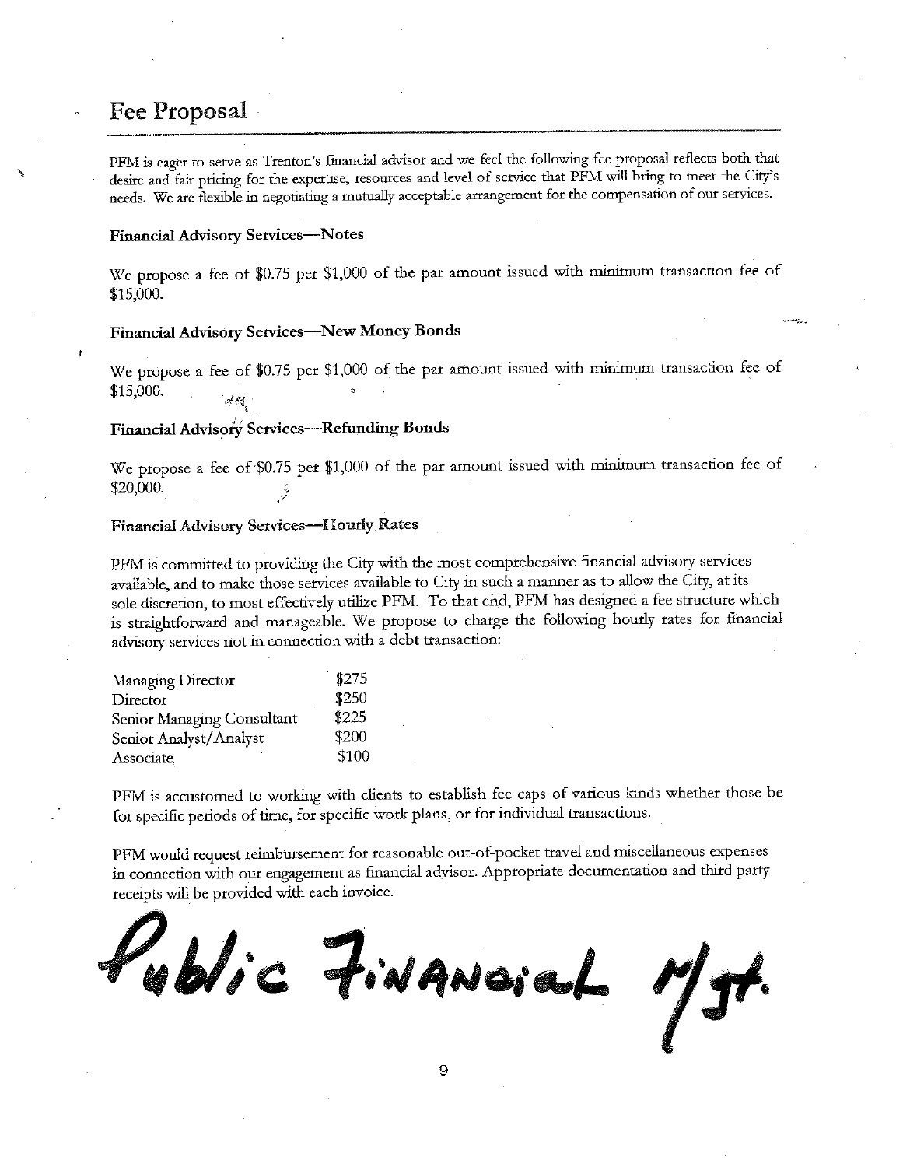## **Fee Proposal**

PFM is eager to serve as Trenton's financial advisor and we feel the following fee proposal reflects both that desire and fair pricing for the expertise, resources and level of service that PFM will bring to meet the City's needs. We are flexible in negotiating a mutually acceptable arrangement for the compensation of our services.

#### **Financial Advisory Services-Notes**

We propose a fee of \$0.75 per \$1,000 of the par amount issued with minimum transaction fee of \$15,000.

#### Financial Advisory Services-New Money Bonds

We propose a fee of \$0.75 per \$1,000 of the par amount issued with minimum transaction fee of \$15,000.

### Financial Advisory Services-Refunding Bonds

We propose a fee of \$0.75 per \$1,000 of the par amount issued with minimum transaction fee of \$20,000.

## Financial Advisory Services-Hourly Rates

PFM is committed to providing the City with the most comprehensive financial advisory services available, and to make those services available to City in such a manner as to allow the City, at its sole discretion, to most effectively utilize PFM. To that end, PFM has designed a fee structure which is straightforward and manageable. We propose to charge the following hourly rates for financial advisory services not in connection with a debt transaction:

| Managing Director          | \$275 |
|----------------------------|-------|
| Director                   | \$250 |
| Senior Managing Consultant | \$225 |
| Senior Analyst/Analyst     | \$200 |
| Associate                  | \$100 |

PFM is accustomed to working with clients to establish fee caps of various kinds whether those be for specific periods of time, for specific work plans, or for individual transactions.

PFM would request reimbursement for reasonable out-of-pocket travel and miscellaneous expenses in connection with our engagement as financial advisor. Appropriate documentation and third party receipts will be provided with each invoice.

Kublic Financial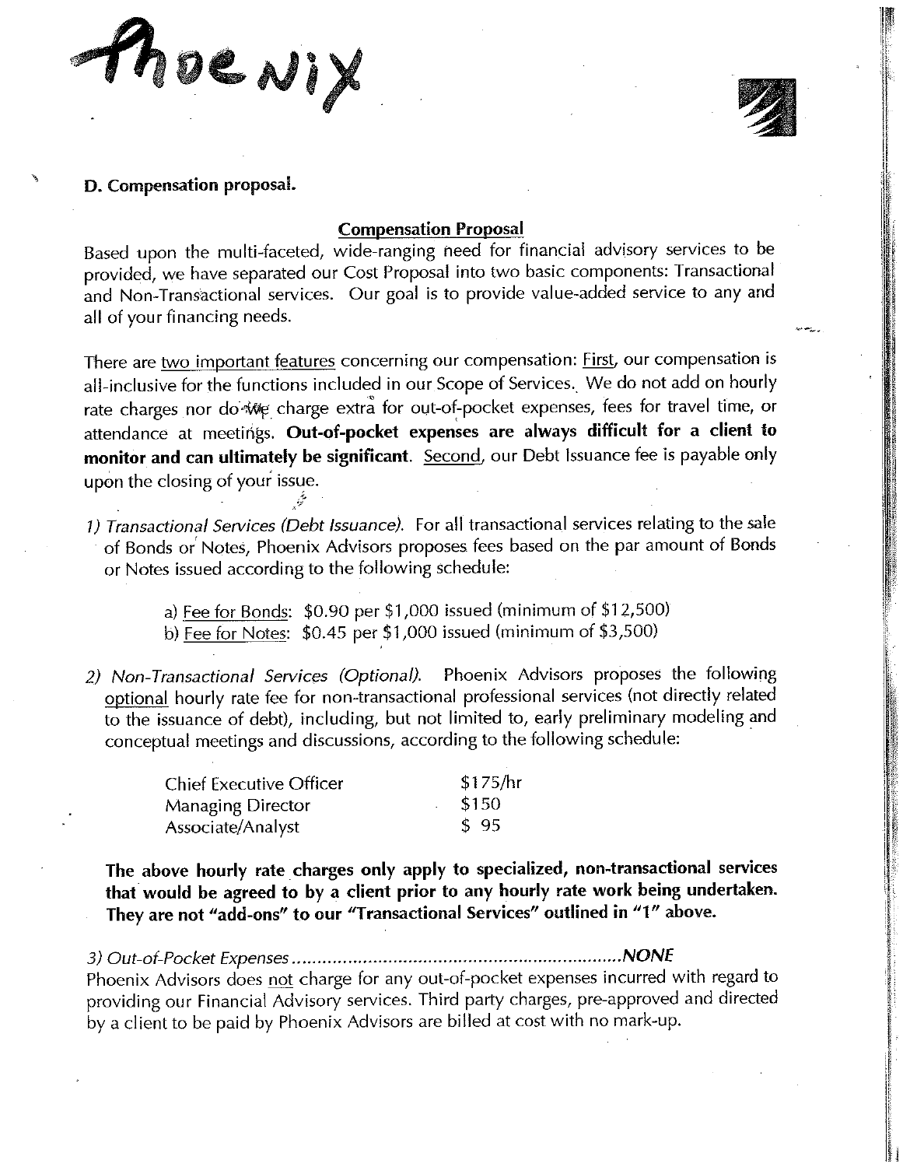Roewix

## D. Compensation proposal.

## **Compensation Proposal**

Based upon the multi-faceted, wide-ranging need for financial advisory services to be provided, we have separated our Cost Proposal into two basic components: Transactional and Non-Transactional services. Our goal is to provide value-added service to any and all of your financing needs.

There are two important features concerning our compensation: First, our compensation is all-inclusive for the functions included in our Scope of Services. We do not add on hourly rate charges nor do we charge extra for out-of-pocket expenses, fees for travel time, or attendance at meetings. Out-of-pocket expenses are always difficult for a client to monitor and can ultimately be significant. Second, our Debt Issuance fee is payable only upon the closing of your issue.

- 1) Transactional Services (Debt Issuance). For all transactional services relating to the sale of Bonds or Notes, Phoenix Advisors proposes fees based on the par amount of Bonds or Notes issued according to the following schedule:
	- a) Fee for Bonds: \$0.90 per \$1,000 issued (minimum of \$12,500) b) Fee for Notes:  $$0.45$  per \$1,000 issued (minimum of \$3,500)
- Phoenix Advisors proposes the following 2) Non-Transactional Services (Optional). optional hourly rate fee for non-transactional professional services (not directly related to the issuance of debt), including, but not limited to, early preliminary modeling and conceptual meetings and discussions, according to the following schedule:

| <b>Chief Executive Officer</b> | \$175/hr |
|--------------------------------|----------|
| Managing Director              | \$150    |
| Associate/Analyst              | \$95     |

عرقيبه

The above hourly rate charges only apply to specialized, non-transactional services that would be agreed to by a client prior to any hourly rate work being undertaken. They are not "add-ons" to our "Transactional Services" outlined in "1" above.

Phoenix Advisors does not charge for any out-of-pocket expenses incurred with regard to providing our Financial Advisory services. Third party charges, pre-approved and directed by a client to be paid by Phoenix Advisors are billed at cost with no mark-up.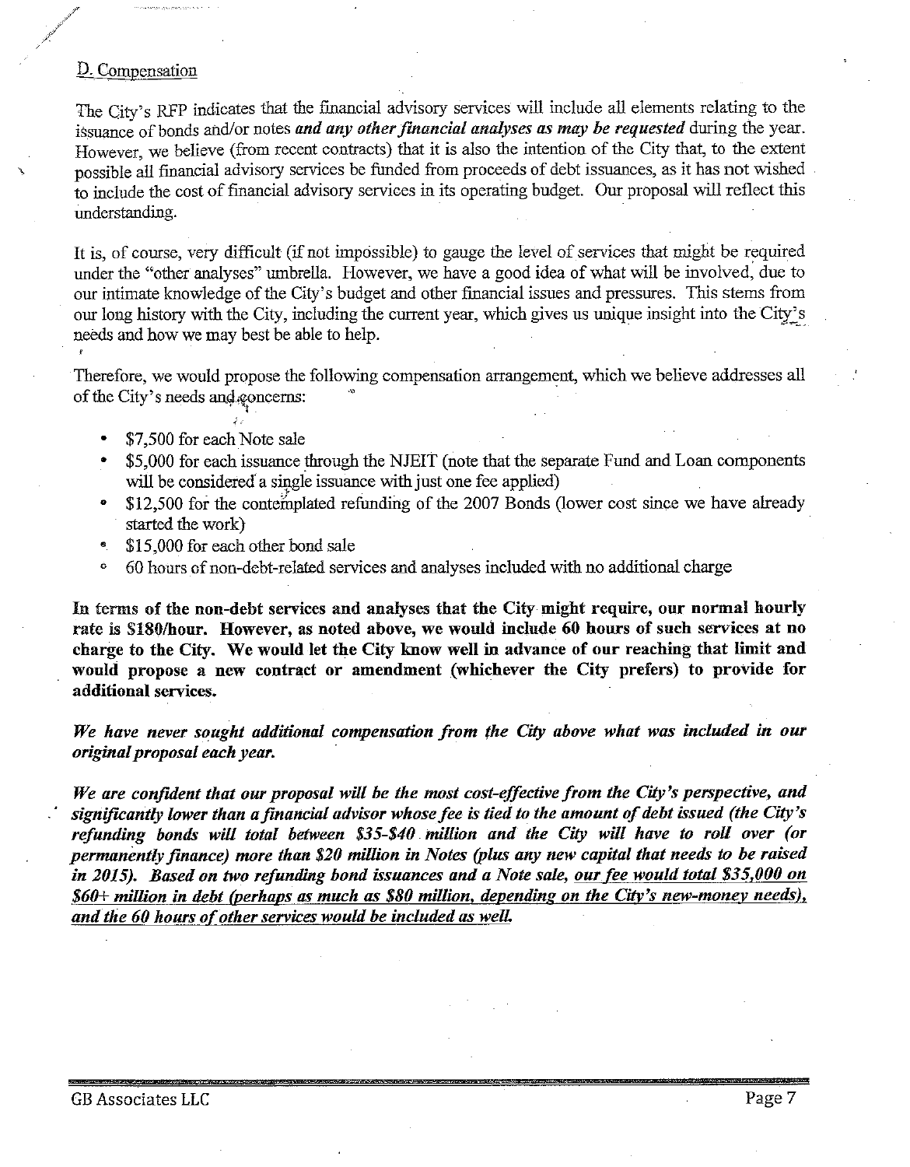## D. Compensation

The City's RFP indicates that the financial advisory services will include all elements relating to the issuance of bonds and/or notes and any other financial analyses as may be requested during the year. However, we believe (from recent contracts) that it is also the intention of the City that, to the extent possible all financial advisory services be funded from proceeds of debt issuances, as it has not wished to include the cost of financial advisory services in its operating budget. Our proposal will reflect this understanding.

It is, of course, very difficult (if not impossible) to gauge the level of services that might be required under the "other analyses" umbrella. However, we have a good idea of what will be involved, due to our intimate knowledge of the City's budget and other financial issues and pressures. This stems from our long history with the City, including the current year, which gives us unique insight into the City's needs and how we may best be able to help.

Therefore, we would propose the following compensation arrangement, which we believe addresses all of the City's needs and goncerns:

- \$7,500 for each Note sale
- \$5,000 for each issuance through the NJEIT (note that the separate Fund and Loan components will be considered a single issuance with just one fee applied)
- \$12,500 for the contemplated refunding of the 2007 Bonds (lower cost since we have already started the work)
- \$15,000 for each other bond sale Ø
- 60 hours of non-debt-related services and analyses included with no additional charge ó

In terms of the non-debt services and analyses that the City might require, our normal hourly rate is \$180/hour. However, as noted above, we would include 60 hours of such services at no charge to the City. We would let the City know well in advance of our reaching that limit and would propose a new contract or amendment (whichever the City prefers) to provide for additional services.

We have never sought additional compensation from the City above what was included in our original proposal each year.

We are confident that our proposal will be the most cost-effective from the City's perspective, and significantly lower than a financial advisor whose fee is tied to the amount of debt issued (the City's refunding bonds will total between \$35-\$40 million and the City will have to roll over (or permanently finance) more than \$20 million in Notes (plus any new capital that needs to be raised in 2015). Based on two refunding bond issuances and a Note sale, our fee would total \$35,000 on \$60+ million in debt (perhaps as much as \$80 million, depending on the City's new-money needs), and the 60 hours of other services would be included as well.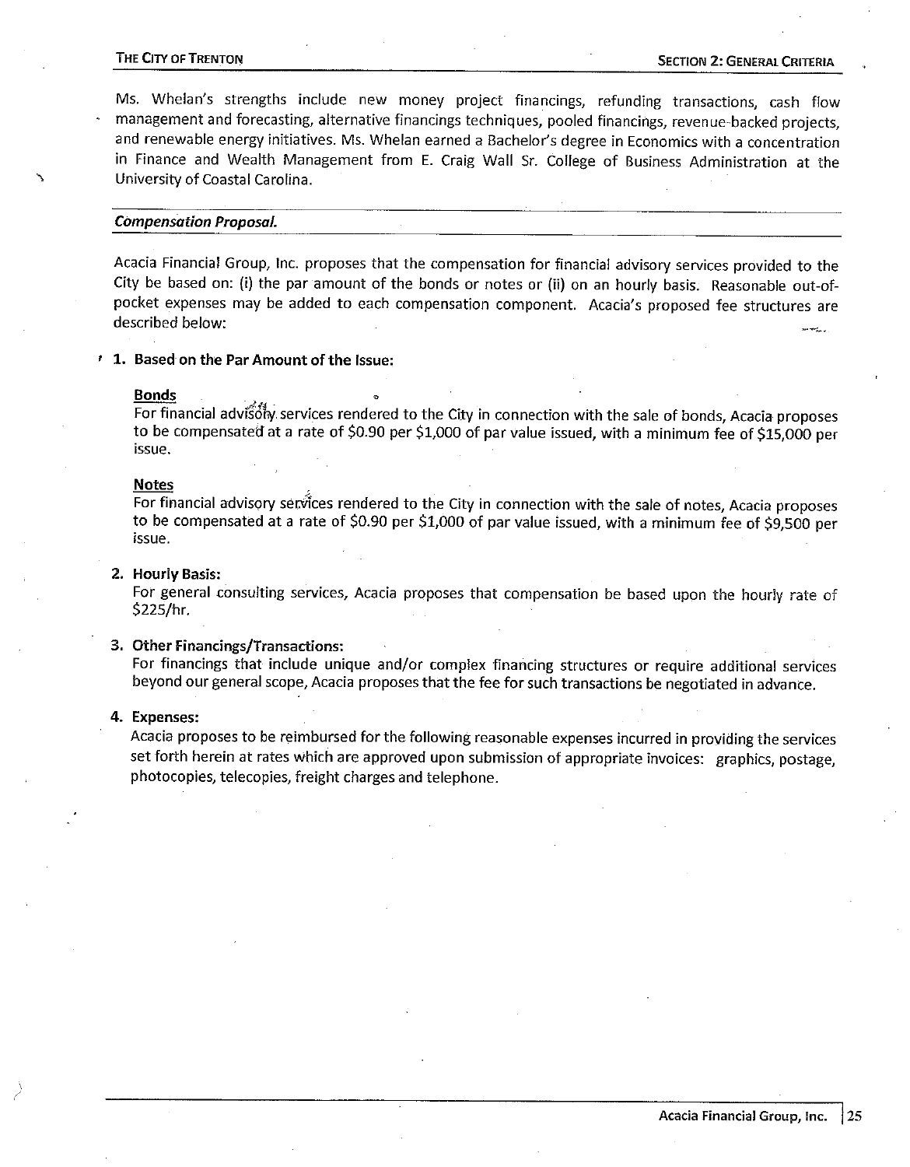#### THE CITY OF TRENTON

Ms. Whelan's strengths include new money project financings, refunding transactions, cash flow management and forecasting, alternative financings techniques, pooled financings, revenue-backed projects, and renewable energy initiatives. Ms. Whelan earned a Bachelor's degree in Economics with a concentration in Finance and Wealth Management from E. Craig Wall Sr. College of Business Administration at the University of Coastal Carolina.

#### **Compensation Proposal.**

Acacia Financial Group, Inc. proposes that the compensation for financial advisory services provided to the City be based on: (i) the par amount of the bonds or notes or (ii) on an hourly basis. Reasonable out-ofpocket expenses may be added to each compensation component. Acacia's proposed fee structures are described below:

<sup>1</sup> 1. Based on the Par Amount of the Issue:

#### **Bonds**

For financial advisolly services rendered to the City in connection with the sale of bonds, Acacia proposes to be compensated at a rate of \$0.90 per \$1,000 of par value issued, with a minimum fee of \$15,000 per issue.

#### **Notes**

For financial advisory services rendered to the City in connection with the sale of notes, Acacia proposes to be compensated at a rate of \$0.90 per \$1,000 of par value issued, with a minimum fee of \$9,500 per issue.

#### 2. Hourly Basis:

For general consulting services, Acacia proposes that compensation be based upon the hourly rate of \$225/hr.

#### 3. Other Financings/Transactions:

For financings that include unique and/or complex financing structures or require additional services beyond our general scope, Acacia proposes that the fee for such transactions be negotiated in advance.

#### 4. Expenses:

Acacia proposes to be reimbursed for the following reasonable expenses incurred in providing the services set forth herein at rates which are approved upon submission of appropriate invoices: graphics, postage, photocopies, telecopies, freight charges and telephone.